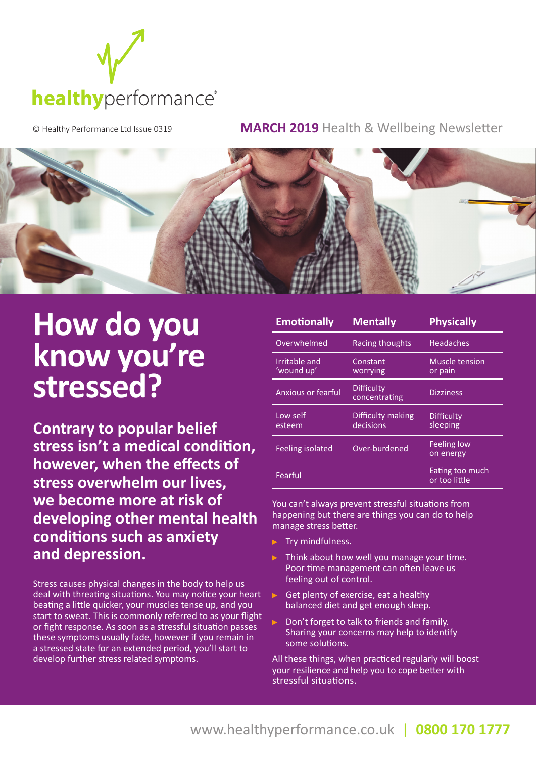

© Healthy Performance Ltd Issue 0319 **MARCH 2019** Health & Wellbeing Newsletter



## **How do you know you're stressed?**

**Contrary to popular belief stress isn't a medical condition, however, when the effects of stress overwhelm our lives, we become more at risk of developing other mental health conditions such as anxiety and depression.**

Stress causes physical changes in the body to help us deal with threating situations. You may notice your heart beating a little quicker, your muscles tense up, and you start to sweat. This is commonly referred to as your flight or fight response. As soon as a stressful situation passes these symptoms usually fade, however if you remain in a stressed state for an extended period, you'll start to develop further stress related symptoms.

| <b>Emotionally</b>          | <b>Mentally</b>                | <b>Physically</b>                |
|-----------------------------|--------------------------------|----------------------------------|
| Overwhelmed                 | Racing thoughts                | <b>Headaches</b>                 |
| Irritable and<br>'wound up' | Constant<br>worrying           | Muscle tension<br>or pain        |
| Anxious or fearful          | Difficulty<br>concentrating    | <b>Dizziness</b>                 |
| Low self<br>esteem          | Difficulty making<br>decisions | Difficulty<br>sleeping           |
| <b>Feeling isolated</b>     | Over-burdened                  | <b>Feeling low</b><br>on energy  |
| Fearful                     |                                | Eating too much<br>or too little |

You can't always prevent stressful situations from happening but there are things you can do to help manage stress better.

- Try mindfulness.
- Think about how well you manage your time. Poor time management can often leave us feeling out of control.
- Get plenty of exercise, eat a healthy balanced diet and get enough sleep.
- Don't forget to talk to friends and family. Sharing your concerns may help to identify some solutions.

All these things, when practiced regularly will boost your resilience and help you to cope better with stressful situations.